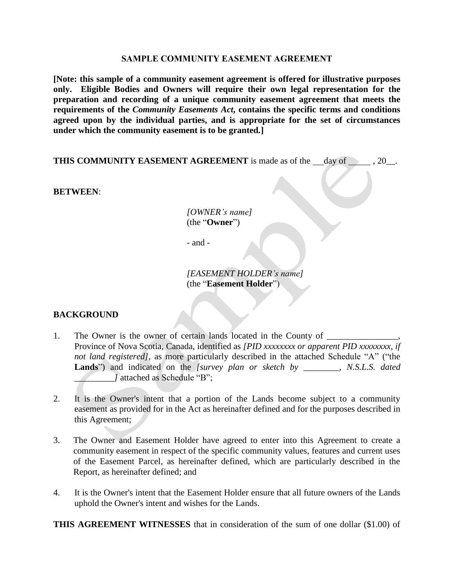#### **SAMPLE COMMUNITY EASEMENT AGREEMENT**

**[Note: this sample of a community easement agreement is offered for illustrative purposes only. Eligible Bodies and Owners will require their own legal representation for the preparation and recording of a unique community easement agreement that meets the requirements of the** *Community Easements Act***, contains the specific terms and conditions agreed upon by the individual parties, and is appropriate for the set of circumstances under which the community easement is to be granted***.***]**

**THIS COMMUNITY EASEMENT AGREEMENT** is made as of the  $\_\_\_\_\_\_$  day of  $\_\_\_\_\$ , 20 $\_\_\_\$ .

**BETWEEN**:

*[OWNER's name]* (the "**Owner**")

- and -

*[EASEMENT HOLDER's name]* (the "**Easement Holder**")

#### **BACKGROUND**

- 1. The Owner is the owner of certain lands located in the County of  $\qquad$ Province of Nova Scotia, Canada, identified as *[PID xxxxxxxx or apparent PID xxxxxxxx, if not land registered]*, as more particularly described in the attached Schedule "A" ("the Lands<sup>"</sup>) and indicated on the *[survey plan or sketch by*, *N.S.L.S. dated \_]* attached as Schedule "B";
- 2. It is the Owner's intent that a portion of the Lands become subject to a community easement as provided for in the Act as hereinafter defined and for the purposes described in this Agreement;
- 3. The Owner and Easement Holder have agreed to enter into this Agreement to create a community easement in respect of the specific community values, features and current uses of the Easement Parcel, as hereinafter defined, which are particularly described in the Report, as hereinafter defined; and
- 4. It is the Owner's intent that the Easement Holder ensure that all future owners of the Lands uphold the Owner's intent and wishes for the Lands.

**THIS AGREEMENT WITNESSES** that in consideration of the sum of one dollar (\$1.00) of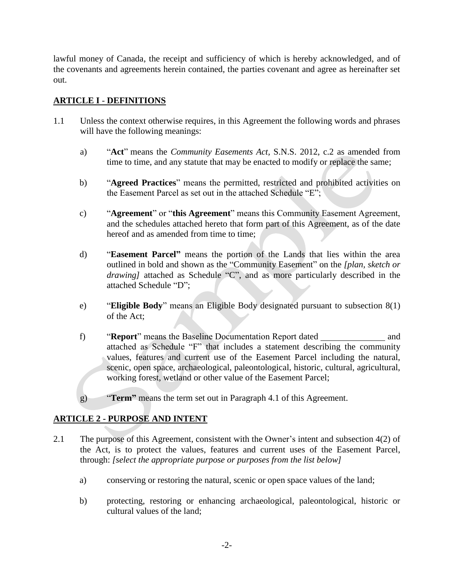lawful money of Canada, the receipt and sufficiency of which is hereby acknowledged, and of the covenants and agreements herein contained, the parties covenant and agree as hereinafter set out.

### **ARTICLE I** - **DEFINITIONS**

- 1.1 Unless the context otherwise requires, in this Agreement the following words and phrases will have the following meanings:
	- a) "**Act**" means the *Community Easements Act,* S.N.S. 2012, c.2 as amended from time to time, and any statute that may be enacted to modify or replace the same;
	- b) "**Agreed Practices**" means the permitted, restricted and prohibited activities on the Easement Parcel as set out in the attached Schedule "E";
	- c) "**Agreement**" or "**this Agreement**" means this Community Easement Agreement, and the schedules attached hereto that form part of this Agreement, as of the date hereof and as amended from time to time:
	- d) "**Easement Parcel"** means the portion of the Lands that lies within the area outlined in bold and shown as the "Community Easement" on the *[plan, sketch or drawing*] attached as Schedule "C", and as more particularly described in the attached Schedule "D";
	- e) "**Eligible Body**" means an Eligible Body designated pursuant to subsection 8(1) of the Act;
	- f) "**Report**" means the Baseline Documentation Report dated \_\_\_\_\_\_\_\_\_\_\_\_\_\_\_\_\_\_\_\_\_ and attached as Schedule "F" that includes a statement describing the community values, features and current use of the Easement Parcel including the natural, scenic, open space, archaeological, paleontological, historic, cultural, agricultural, working forest, wetland or other value of the Easement Parcel;
	- g) "**Term"** means the term set out in Paragraph 4.1 of this Agreement.

### **ARTICLE 2 - PURPOSE AND INTENT**

- 2.1 The purpose of this Agreement, consistent with the Owner's intent and subsection 4(2) of the Act, is to protect the values, features and current uses of the Easement Parcel, through: *[select the appropriate purpose or purposes from the list below]*
	- a) conserving or restoring the natural, scenic or open space values of the land;
	- b) protecting, restoring or enhancing archaeological, paleontological, historic or cultural values of the land;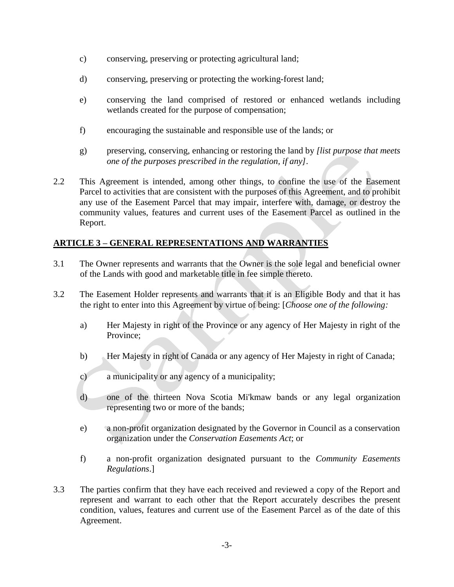- c) conserving, preserving or protecting agricultural land;
- d) conserving, preserving or protecting the working-forest land;
- e) conserving the land comprised of restored or enhanced wetlands including wetlands created for the purpose of compensation;
- f) encouraging the sustainable and responsible use of the lands; or
- g) preserving, conserving, enhancing or restoring the land by *[list purpose that meets one of the purposes prescribed in the regulation, if any]*.
- 2.2 This Agreement is intended, among other things, to confine the use of the Easement Parcel to activities that are consistent with the purposes of this Agreement, and to prohibit any use of the Easement Parcel that may impair, interfere with, damage, or destroy the community values, features and current uses of the Easement Parcel as outlined in the Report.

### **ARTICLE 3 – GENERAL REPRESENTATIONS AND WARRANTIES**

- 3.1 The Owner represents and warrants that the Owner is the sole legal and beneficial owner of the Lands with good and marketable title in fee simple thereto.
- 3.2 The Easement Holder represents and warrants that it is an Eligible Body and that it has the right to enter into this Agreement by virtue of being: [*Choose one of the following:*
	- a) Her Majesty in right of the Province or any agency of Her Majesty in right of the Province;
	- b) Her Majesty in right of Canada or any agency of Her Majesty in right of Canada;
	- c) a municipality or any agency of a municipality;
	- d) one of the thirteen Nova Scotia Mi'kmaw bands or any legal organization representing two or more of the bands;
	- e) a non-profit organization designated by the Governor in Council as a conservation organization under the *Conservation Easements Act*; or
	- f) a non-profit organization designated pursuant to the *Community Easements Regulations*.]
- 3.3 The parties confirm that they have each received and reviewed a copy of the Report and represent and warrant to each other that the Report accurately describes the present condition, values, features and current use of the Easement Parcel as of the date of this Agreement.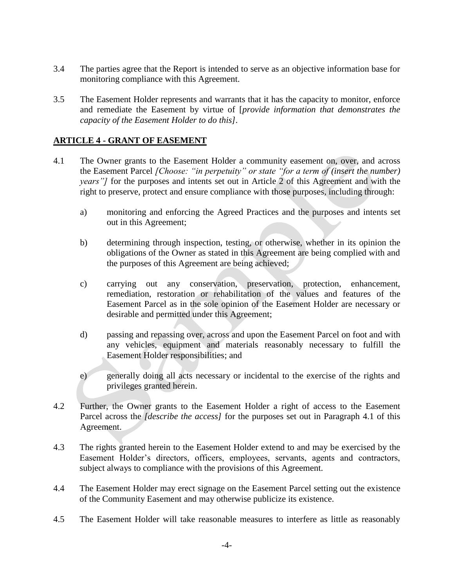- 3.4 The parties agree that the Report is intended to serve as an objective information base for monitoring compliance with this Agreement.
- 3.5 The Easement Holder represents and warrants that it has the capacity to monitor, enforce and remediate the Easement by virtue of [*provide information that demonstrates the capacity of the Easement Holder to do this].*

### **ARTICLE 4 - GRANT OF EASEMENT**

- 4.1 The Owner grants to the Easement Holder a community easement on, over, and across the Easement Parcel *[Choose: "in perpetuity" or state "for a term of (insert the number) years*"] for the purposes and intents set out in Article 2 of this Agreement and with the right to preserve, protect and ensure compliance with those purposes, including through:
	- a) monitoring and enforcing the Agreed Practices and the purposes and intents set out in this Agreement;
	- b) determining through inspection, testing, or otherwise, whether in its opinion the obligations of the Owner as stated in this Agreement are being complied with and the purposes of this Agreement are being achieved;
	- c) carrying out any conservation, preservation, protection, enhancement, remediation, restoration or rehabilitation of the values and features of the Easement Parcel as in the sole opinion of the Easement Holder are necessary or desirable and permitted under this Agreement;
	- d) passing and repassing over, across and upon the Easement Parcel on foot and with any vehicles, equipment and materials reasonably necessary to fulfill the Easement Holder responsibilities; and
	- e) generally doing all acts necessary or incidental to the exercise of the rights and privileges granted herein.
- 4.2 Further, the Owner grants to the Easement Holder a right of access to the Easement Parcel across the *[describe the access]* for the purposes set out in Paragraph 4.1 of this Agreement.
- 4.3 The rights granted herein to the Easement Holder extend to and may be exercised by the Easement Holder's directors, officers, employees, servants, agents and contractors, subject always to compliance with the provisions of this Agreement.
- 4.4 The Easement Holder may erect signage on the Easement Parcel setting out the existence of the Community Easement and may otherwise publicize its existence.
- 4.5 The Easement Holder will take reasonable measures to interfere as little as reasonably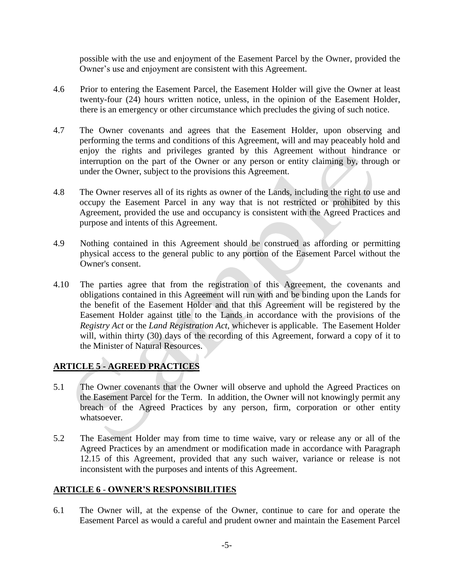possible with the use and enjoyment of the Easement Parcel by the Owner, provided the Owner's use and enjoyment are consistent with this Agreement.

- 4.6 Prior to entering the Easement Parcel, the Easement Holder will give the Owner at least twenty-four (24) hours written notice, unless, in the opinion of the Easement Holder, there is an emergency or other circumstance which precludes the giving of such notice.
- 4.7 The Owner covenants and agrees that the Easement Holder, upon observing and performing the terms and conditions of this Agreement, will and may peaceably hold and enjoy the rights and privileges granted by this Agreement without hindrance or interruption on the part of the Owner or any person or entity claiming by, through or under the Owner, subject to the provisions this Agreement.
- 4.8 The Owner reserves all of its rights as owner of the Lands, including the right to use and occupy the Easement Parcel in any way that is not restricted or prohibited by this Agreement, provided the use and occupancy is consistent with the Agreed Practices and purpose and intents of this Agreement.
- 4.9 Nothing contained in this Agreement should be construed as affording or permitting physical access to the general public to any portion of the Easement Parcel without the Owner's consent.
- 4.10 The parties agree that from the registration of this Agreement, the covenants and obligations contained in this Agreement will run with and be binding upon the Lands for the benefit of the Easement Holder and that this Agreement will be registered by the Easement Holder against title to the Lands in accordance with the provisions of the *Registry Act* or the *Land Registration Act*, whichever is applicable. The Easement Holder will, within thirty (30) days of the recording of this Agreement, forward a copy of it to the Minister of Natural Resources.

# **ARTICLE 5 - AGREED PRACTICES**

- 5.1 The Owner covenants that the Owner will observe and uphold the Agreed Practices on the Easement Parcel for the Term. In addition, the Owner will not knowingly permit any breach of the Agreed Practices by any person, firm, corporation or other entity whatsoever.
- 5.2 The Easement Holder may from time to time waive, vary or release any or all of the Agreed Practices by an amendment or modification made in accordance with Paragraph 12.15 of this Agreement, provided that any such waiver, variance or release is not inconsistent with the purposes and intents of this Agreement.

### **ARTICLE 6** - **OWNER'S RESPONSIBILITIES**

6.1 The Owner will, at the expense of the Owner, continue to care for and operate the Easement Parcel as would a careful and prudent owner and maintain the Easement Parcel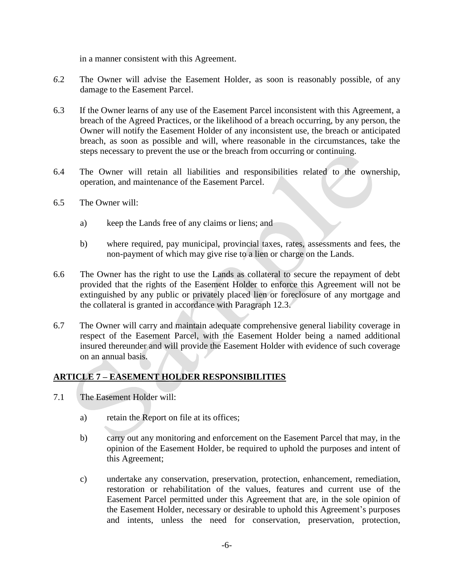in a manner consistent with this Agreement.

- *6*.2 The Owner will advise the Easement Holder, as soon is reasonably possible, of any damage to the Easement Parcel.
- 6.3 If the Owner learns of any use of the Easement Parcel inconsistent with this Agreement, a breach of the Agreed Practices, or the likelihood of a breach occurring, by any person, the Owner will notify the Easement Holder of any inconsistent use, the breach or anticipated breach, as soon as possible and will, where reasonable in the circumstances, take the steps necessary to prevent the use or the breach from occurring or continuing.
- 6.4 The Owner will retain all liabilities and responsibilities related to the ownership, operation, and maintenance of the Easement Parcel.
- 6.5 The Owner will:
	- a) keep the Lands free of any claims or liens; and
	- b) where required, pay municipal, provincial taxes, rates, assessments and fees, the non-payment of which may give rise to a lien or charge on the Lands.
- 6.6 The Owner has the right to use the Lands as collateral to secure the repayment of debt provided that the rights of the Easement Holder to enforce this Agreement will not be extinguished by any public or privately placed lien or foreclosure of any mortgage and the collateral is granted in accordance with Paragraph 12.3.
- 6.7 The Owner will carry and maintain adequate comprehensive general liability coverage in respect of the Easement Parcel, with the Easement Holder being a named additional insured thereunder and will provide the Easement Holder with evidence of such coverage on an annual basis.

## **ARTICLE 7 – EASEMENT HOLDER RESPONSIBILITIES**

- 7.1 The Easement Holder will:
	- a) retain the Report on file at its offices;
	- b) carry out any monitoring and enforcement on the Easement Parcel that may, in the opinion of the Easement Holder, be required to uphold the purposes and intent of this Agreement;
	- c) undertake any conservation, preservation, protection, enhancement, remediation, restoration or rehabilitation of the values, features and current use of the Easement Parcel permitted under this Agreement that are, in the sole opinion of the Easement Holder, necessary or desirable to uphold this Agreement's purposes and intents, unless the need for conservation, preservation, protection,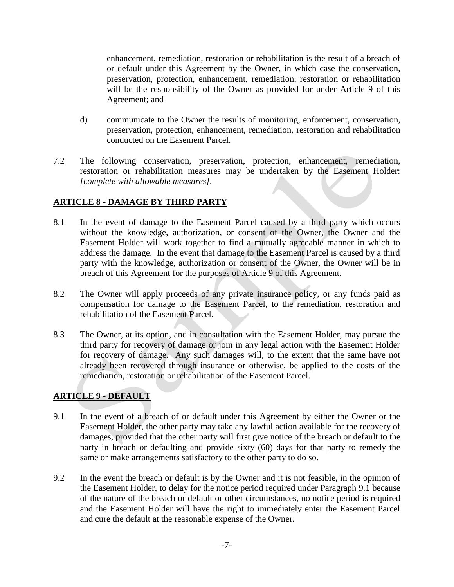enhancement, remediation, restoration or rehabilitation is the result of a breach of or default under this Agreement by the Owner, in which case the conservation, preservation, protection, enhancement, remediation, restoration or rehabilitation will be the responsibility of the Owner as provided for under Article 9 of this Agreement; and

- d) communicate to the Owner the results of monitoring, enforcement, conservation, preservation, protection, enhancement, remediation, restoration and rehabilitation conducted on the Easement Parcel.
- 7.2 The following conservation, preservation, protection, enhancement, remediation, restoration or rehabilitation measures may be undertaken by the Easement Holder: *[complete with allowable measures].*

# **ARTICLE 8 - DAMAGE BY THIRD PARTY**

- 8.1 In the event of damage to the Easement Parcel caused by a third party which occurs without the knowledge, authorization, or consent of the Owner, the Owner and the Easement Holder will work together to find a mutually agreeable manner in which to address the damage. In the event that damage to the Easement Parcel is caused by a third party with the knowledge, authorization or consent of the Owner, the Owner will be in breach of this Agreement for the purposes of Article 9 of this Agreement.
- 8.2 The Owner will apply proceeds of any private insurance policy, or any funds paid as compensation for damage to the Easement Parcel, to the remediation, restoration and rehabilitation of the Easement Parcel.
- 8.3 The Owner, at its option, and in consultation with the Easement Holder, may pursue the third party for recovery of damage or join in any legal action with the Easement Holder for recovery of damage. Any such damages will, to the extent that the same have not already been recovered through insurance or otherwise, be applied to the costs of the remediation, restoration or rehabilitation of the Easement Parcel.

## **ARTICLE 9 - DEFAULT**

- 9.1 In the event of a breach of or default under this Agreement by either the Owner or the Easement Holder, the other party may take any lawful action available for the recovery of damages, provided that the other party will first give notice of the breach or default to the party in breach or defaulting and provide sixty (60) days for that party to remedy the same or make arrangements satisfactory to the other party to do so.
- 9.2 In the event the breach or default is by the Owner and it is not feasible, in the opinion of the Easement Holder, to delay for the notice period required under Paragraph 9.1 because of the nature of the breach or default or other circumstances, no notice period is required and the Easement Holder will have the right to immediately enter the Easement Parcel and cure the default at the reasonable expense of the Owner.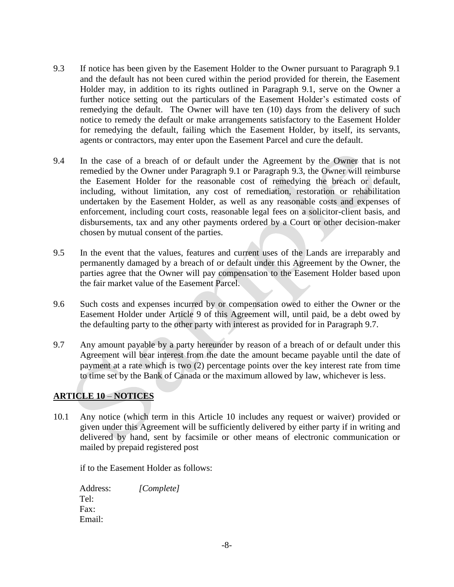- 9.3 If notice has been given by the Easement Holder to the Owner pursuant to Paragraph 9.1 and the default has not been cured within the period provided for therein, the Easement Holder may, in addition to its rights outlined in Paragraph 9.1, serve on the Owner a further notice setting out the particulars of the Easement Holder's estimated costs of remedying the default. The Owner will have ten (10) days from the delivery of such notice to remedy the default or make arrangements satisfactory to the Easement Holder for remedying the default, failing which the Easement Holder, by itself, its servants, agents or contractors, may enter upon the Easement Parcel and cure the default.
- 9.4 In the case of a breach of or default under the Agreement by the Owner that is not remedied by the Owner under Paragraph 9.1 or Paragraph 9.3, the Owner will reimburse the Easement Holder for the reasonable cost of remedying the breach or default, including, without limitation, any cost of remediation, restoration or rehabilitation undertaken by the Easement Holder, as well as any reasonable costs and expenses of enforcement, including court costs, reasonable legal fees on a solicitor-client basis, and disbursements, tax and any other payments ordered by a Court or other decision-maker chosen by mutual consent of the parties.
- 9.5 In the event that the values, features and current uses of the Lands are irreparably and permanently damaged by a breach of or default under this Agreement by the Owner, the parties agree that the Owner will pay compensation to the Easement Holder based upon the fair market value of the Easement Parcel.
- 9.6 Such costs and expenses incurred by or compensation owed to either the Owner or the Easement Holder under Article 9 of this Agreement will, until paid, be a debt owed by the defaulting party to the other party with interest as provided for in Paragraph 9.7.
- 9.7 Any amount payable by a party hereunder by reason of a breach of or default under this Agreement will bear interest from the date the amount became payable until the date of payment at a rate which is two (2) percentage points over the key interest rate from time to time set by the Bank of Canada or the maximum allowed by law, whichever is less.

## **ARTICLE 10** – **NOTICES**

10.1Any notice (which term in this Article 10 includes any request or waiver) provided or given under this Agreement will be sufficiently delivered by either party if in writing and delivered by hand, sent by facsimile or other means of electronic communication or mailed by prepaid registered post

if to the Easement Holder as follows:

| Address: | [Complete] |
|----------|------------|
| Tel:     |            |
| Fax:     |            |
| Email:   |            |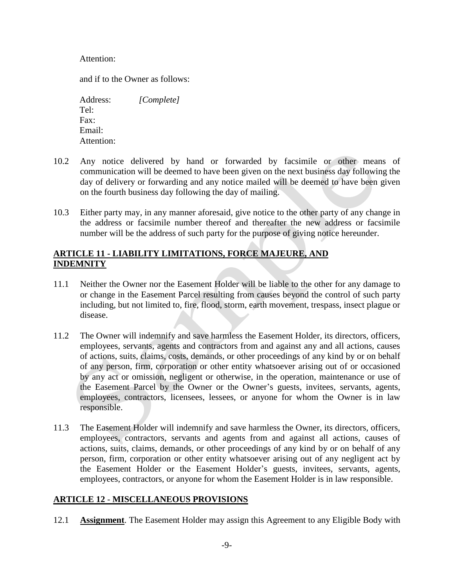Attention:

and if to the Owner as follows:

Address: *[Complete]* Tel: Fax: Email: Attention:

- 10.2 Any notice delivered by hand or forwarded by facsimile or other means of communication will be deemed to have been given on the next business day following the day of delivery or forwarding and any notice mailed will be deemed to have been given on the fourth business day following the day of mailing.
- 10.3 Either party may, in any manner aforesaid, give notice to the other party of any change in the address or facsimile number thereof and thereafter the new address or facsimile number will be the address of such party for the purpose of giving notice hereunder.

### **ARTICLE 11 - LIABILITY LIMITATIONS, FORCE MAJEURE, AND INDEMNITY**

- 11.1 Neither the Owner nor the Easement Holder will be liable to the other for any damage to or change in the Easement Parcel resulting from causes beyond the control of such party including, but not limited to, fire, flood, storm, earth movement, trespass, insect plague or disease.
- 11.2 The Owner will indemnify and save harmless the Easement Holder, its directors, officers, employees, servants, agents and contractors from and against any and all actions, causes of actions, suits, claims, costs, demands, or other proceedings of any kind by or on behalf of any person, firm, corporation or other entity whatsoever arising out of or occasioned by any act or omission, negligent or otherwise, in the operation, maintenance or use of the Easement Parcel by the Owner or the Owner's guests, invitees, servants, agents, employees, contractors, licensees, lessees, or anyone for whom the Owner is in law responsible.
- 11.3 The Easement Holder will indemnify and save harmless the Owner, its directors, officers, employees, contractors, servants and agents from and against all actions, causes of actions, suits, claims, demands, or other proceedings of any kind by or on behalf of any person, firm, corporation or other entity whatsoever arising out of any negligent act by the Easement Holder or the Easement Holder's guests, invitees, servants, agents, employees, contractors, or anyone for whom the Easement Holder is in law responsible.

### **ARTICLE 12** - **MISCELLANEOUS PROVISIONS**

12.1 **Assignment**. The Easement Holder may assign this Agreement to any Eligible Body with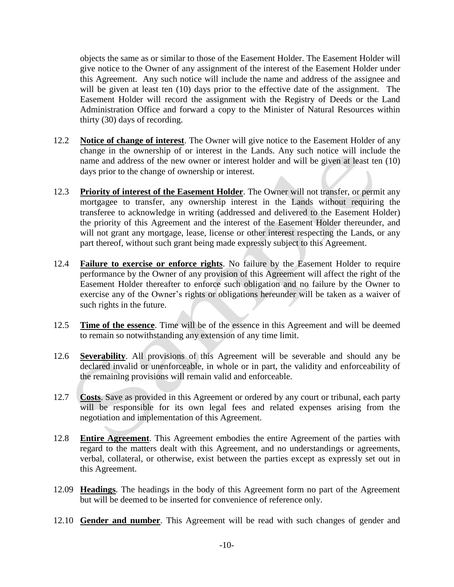objects the same as or similar to those of the Easement Holder. The Easement Holder will give notice to the Owner of any assignment of the interest of the Easement Holder under this Agreement. Any such notice will include the name and address of the assignee and will be given at least ten (10) days prior to the effective date of the assignment. The Easement Holder will record the assignment with the Registry of Deeds or the Land Administration Office and forward a copy to the Minister of Natural Resources within thirty (30) days of recording.

- 12.2 **Notice of change of interest**. The Owner will give notice to the Easement Holder of any change in the ownership of or interest in the Lands. Any such notice will include the name and address of the new owner or interest holder and will be given at least ten (10) days prior to the change of ownership or interest.
- 12.3 **Priority of interest of the Easement Holder**. The Owner will not transfer, or permit any mortgagee to transfer, any ownership interest in the Lands without requiring the transferee to acknowledge in writing (addressed and delivered to the Easement Holder) the priority of this Agreement and the interest of the Easement Holder thereunder, and will not grant any mortgage, lease, license or other interest respecting the Lands, or any part thereof, without such grant being made expressly subject to this Agreement.
- 12.4 **Failure to exercise or enforce rights**. No failure by the Easement Holder to require performance by the Owner of any provision of this Agreement will affect the right of the Easement Holder thereafter to enforce such obligation and no failure by the Owner to exercise any of the Owner's rights or obligations hereunder will be taken as a waiver of such rights in the future.
- 12.5 **Time of the essence**. Time will be of the essence in this Agreement and will be deemed to remain so notwithstanding any extension of any time limit.
- 12.6 **Severability**. All provisions of this Agreement will be severable and should any be declared invalid or unenforceable, in whole or in part, the validity and enforceability of the remaining provisions will remain valid and enforceable.
- 12.7 **Costs**. Save as provided in this Agreement or ordered by any court or tribunal, each party will be responsible for its own legal fees and related expenses arising from the negotiation and implementation of this Agreement.
- 12.8 **Entire Agreement**. This Agreement embodies the entire Agreement of the parties with regard to the matters dealt with this Agreement, and no understandings or agreements, verbal, collateral, or otherwise, exist between the parties except as expressly set out in this Agreement.
- 12.09 **Headings**. The headings in the body of this Agreement form no part of the Agreement but will be deemed to be inserted for convenience of reference only.
- 12.10 **Gender and number**. This Agreement will be read with such changes of gender and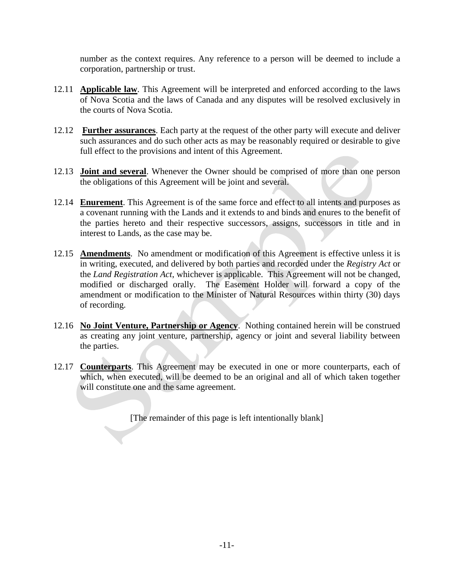number as the context requires. Any reference to a person will be deemed to include a corporation, partnership or trust.

- 12.11 **Applicable law**. This Agreement will be interpreted and enforced according to the laws of Nova Scotia and the laws of Canada and any disputes will be resolved exclusively in the courts of Nova Scotia.
- 12.12 **Further assurances**. Each party at the request of the other party will execute and deliver such assurances and do such other acts as may be reasonably required or desirable to give full effect to the provisions and intent of this Agreement.
- 12.13 **Joint and several**. Whenever the Owner should be comprised of more than one person the obligations of this Agreement will be joint and several.
- 12.14 **Enurement**. This Agreement is of the same force and effect to all intents and purposes as a covenant running with the Lands and it extends to and binds and enures to the benefit of the parties hereto and their respective successors, assigns, successors in title and in interest to Lands, as the case may be.
- 12.15 **Amendments**. No amendment or modification of this Agreement is effective unless it is in writing, executed, and delivered by both parties and recorded under the *Registry Act* or the *Land Registration Act*, whichever is applicable. This Agreement will not be changed, modified or discharged orally. The Easement Holder will forward a copy of the amendment or modification to the Minister of Natural Resources within thirty (30) days of recording.
- 12.16 **No Joint Venture, Partnership or Agency**. Nothing contained herein will be construed as creating any joint venture, partnership, agency or joint and several liability between the parties.
- 12.17 **Counterparts**. This Agreement may be executed in one or more counterparts, each of which, when executed, will be deemed to be an original and all of which taken together will constitute one and the same agreement.

[The remainder of this page is left intentionally blank]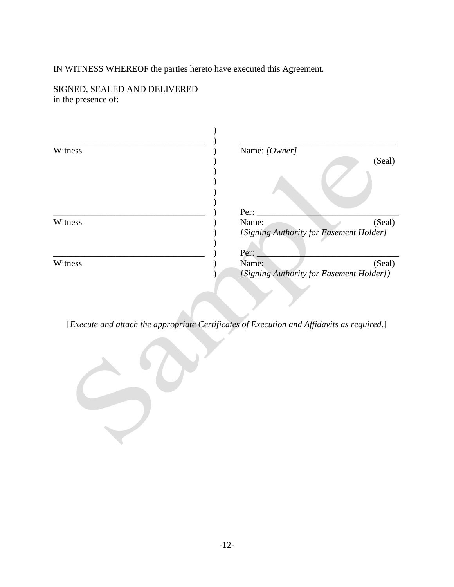IN WITNESS WHEREOF the parties hereto have executed this Agreement.

SIGNED, SEALED AND DELIVERED in the presence of:

| Witness | Name: [Owner]                           |                                          |  |
|---------|-----------------------------------------|------------------------------------------|--|
|         |                                         | (Seal)                                   |  |
|         |                                         |                                          |  |
|         | Per:                                    |                                          |  |
| Witness | Name:                                   | (Seal)                                   |  |
|         | [Signing Authority for Easement Holder] |                                          |  |
|         | Per:                                    |                                          |  |
| Witness | Name:                                   | (Seal)                                   |  |
|         | <b>Service</b>                          | [Signing Authority for Easement Holder]) |  |

[*Execute and attach the appropriate Certificates of Execution and Affidavits as required.*]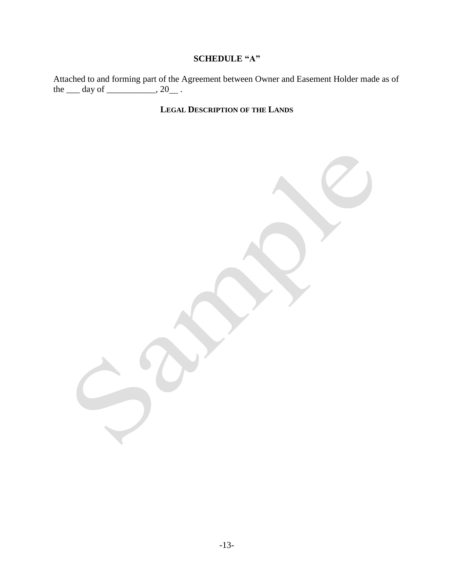## **SCHEDULE "A"**

Attached to and forming part of the Agreement between Owner and Easement Holder made as of the  $\rule{1em}{0.15mm} \nightharpoonup$  day of  $\rule{1em}{0.15mm}$  . 20  $\rule{1em}{0.15mm}$ .

# **LEGAL DESCRIPTION OF THE LANDS**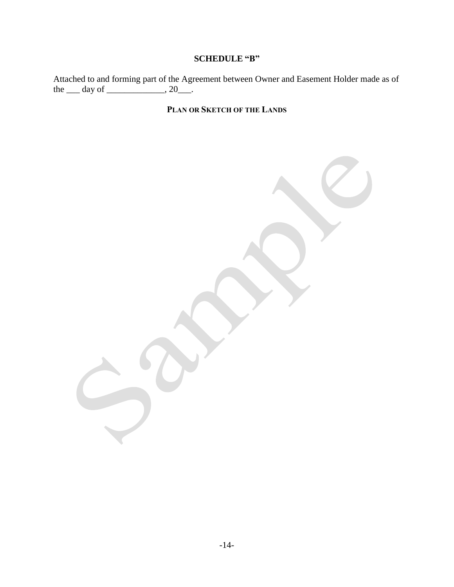## **SCHEDULE "B"**

Attached to and forming part of the Agreement between Owner and Easement Holder made as of the  $\rule{1em}{0.15mm}$  day of  $\rule{1em}{0.15mm}$ , 20 $\rule{1em}{0.15mm}$ .

# **PLAN OR SKETCH OF THE LANDS**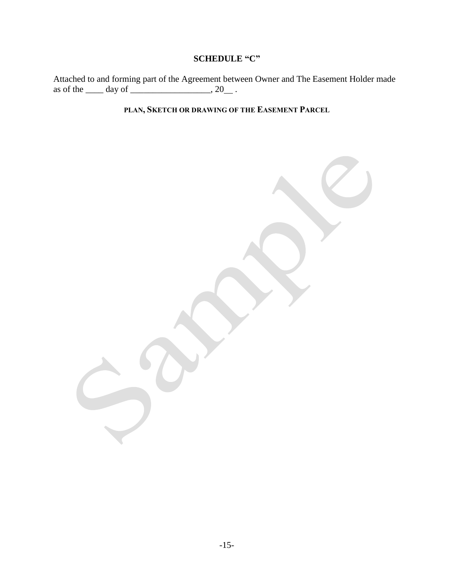# **SCHEDULE "C"**

Attached to and forming part of the Agreement between Owner and The Easement Holder made as of the  $\_\_\_\_\$  day of  $\_\_\_\_\_\_\$ .

**PLAN, SKETCH OR DRAWING OF THE EASEMENT PARCEL**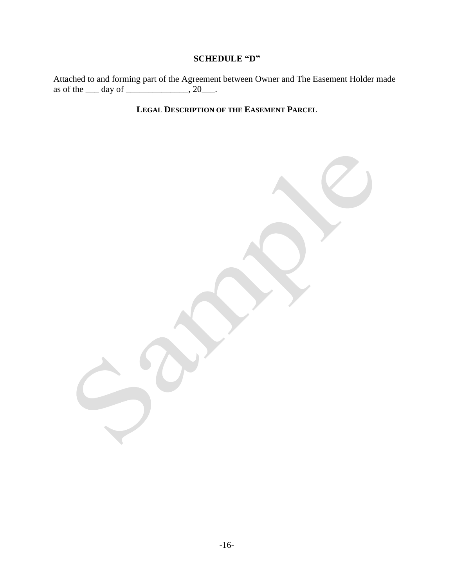# **SCHEDULE "D"**

Attached to and forming part of the Agreement between Owner and The Easement Holder made as of the  $\rule{1em}{0.15mm}$  day of  $\rule{1em}{0.15mm}$ , 20 $\rule{1em}{0.15mm}$ .

**LEGAL DESCRIPTION OF THE EASEMENT PARCEL**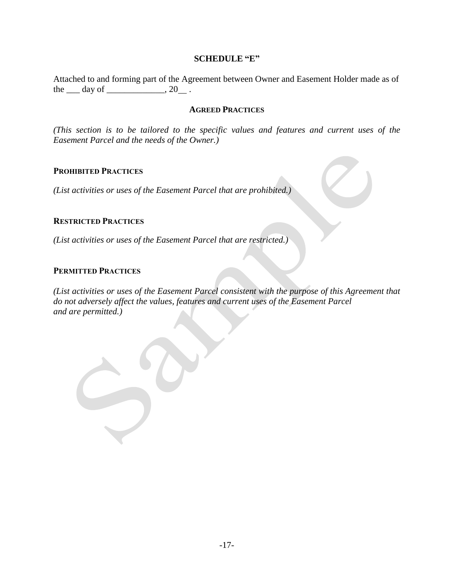#### **SCHEDULE "E"**

Attached to and forming part of the Agreement between Owner and Easement Holder made as of the  $\rule{1em}{0.15mm}$  day of  $\rule{1em}{0.15mm}$ , 20  $\rule{1em}{0.15mm}$ .

#### **AGREED PRACTICES**

*(This section is to be tailored to the specific values and features and current uses of the Easement Parcel and the needs of the Owner.)*

#### **PROHIBITED PRACTICES**

*(List activities or uses of the Easement Parcel that are prohibited.)*

#### **RESTRICTED PRACTICES**

*(List activities or uses of the Easement Parcel that are restricted.)* 

#### **PERMITTED PRACTICES**

*(List activities or uses of the Easement Parcel consistent with the purpose of this Agreement that do not adversely affect the values, features and current uses of the Easement Parcel and are permitted.)*